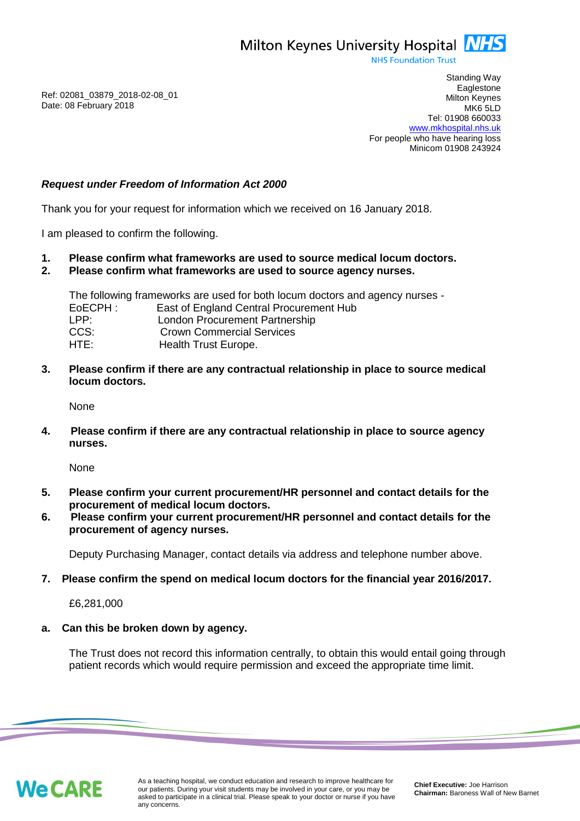Milton Keynes University Hospital **NHS** 

**NHS Foundation Trust** 

Ref: 02081\_03879\_2018-02-08\_01 Date: 08 February 2018

Standing Way **Eaglestone** Milton Keynes MK6 5LD Tel: 01908 660033 [www.mkhospital.nhs.uk](http://www.mkhospital.nhs.uk/) For people who have hearing loss Minicom 01908 243924

# *Request under Freedom of Information Act 2000*

Thank you for your request for information which we received on 16 January 2018.

I am pleased to confirm the following.

- **1. Please confirm what frameworks are used to source medical locum doctors.**
- **2. Please confirm what frameworks are used to source agency nurses.**

The following frameworks are used for both locum doctors and agency nurses - EoECPH : East of England Central Procurement Hub LPP: London Procurement Partnership CCS: Crown Commercial Services HTE: Health Trust Europe.

**3. Please confirm if there are any contractual relationship in place to source medical locum doctors.**

None

**4. Please confirm if there are any contractual relationship in place to source agency nurses.**

None

- **5. Please confirm your current procurement/HR personnel and contact details for the procurement of medical locum doctors.**
- **6. Please confirm your current procurement/HR personnel and contact details for the procurement of agency nurses.**

Deputy Purchasing Manager, contact details via address and telephone number above.

**7. Please confirm the spend on medical locum doctors for the financial year 2016/2017.**

£6,281,000

### **a. Can this be broken down by agency.**

The Trust does not record this information centrally, to obtain this would entail going through patient records which would require permission and exceed the appropriate time limit.

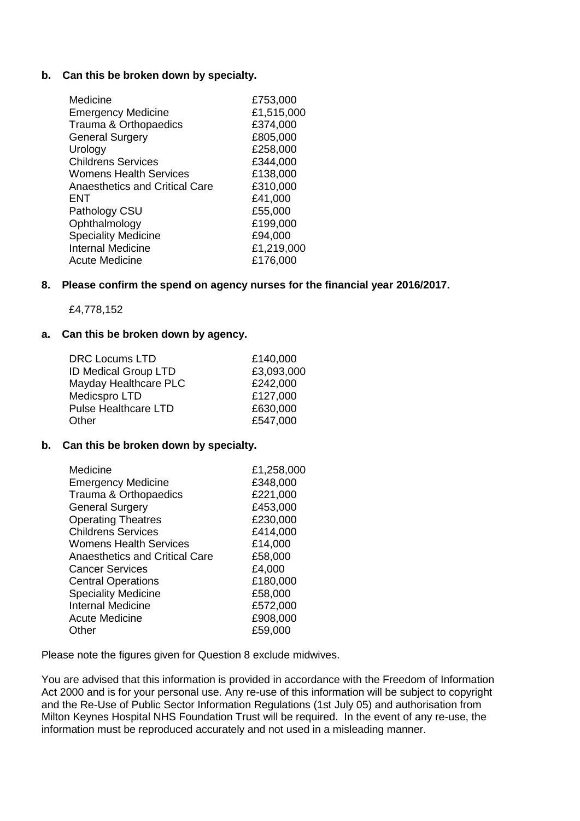### **b. Can this be broken down by specialty.**

| Medicine                       | £753,000   |
|--------------------------------|------------|
| <b>Emergency Medicine</b>      | £1,515,000 |
| Trauma & Orthopaedics          | £374,000   |
| <b>General Surgery</b>         | £805,000   |
| Urology                        | £258,000   |
| <b>Childrens Services</b>      | £344,000   |
| <b>Womens Health Services</b>  | £138,000   |
| Anaesthetics and Critical Care | £310,000   |
| <b>ENT</b>                     | £41,000    |
| Pathology CSU                  | £55,000    |
| Ophthalmology                  | £199,000   |
| <b>Speciality Medicine</b>     | £94,000    |
| <b>Internal Medicine</b>       | £1,219,000 |
| Acute Medicine                 | £176,000   |
|                                |            |

#### **8. Please confirm the spend on agency nurses for the financial year 2016/2017.**

£4,778,152

#### **a. Can this be broken down by agency.**

| £140,000   |
|------------|
| £3,093,000 |
| £242,000   |
| £127,000   |
| £630,000   |
| £547,000   |
|            |

# **b. Can this be broken down by specialty.**

| Medicine                              | £1,258,000 |
|---------------------------------------|------------|
| <b>Emergency Medicine</b>             | £348,000   |
| Trauma & Orthopaedics                 | £221,000   |
| <b>General Surgery</b>                | £453,000   |
| <b>Operating Theatres</b>             | £230,000   |
| <b>Childrens Services</b>             | £414,000   |
| <b>Womens Health Services</b>         | £14,000    |
| <b>Anaesthetics and Critical Care</b> | £58,000    |
| <b>Cancer Services</b>                | £4,000     |
| <b>Central Operations</b>             | £180,000   |
| <b>Speciality Medicine</b>            | £58,000    |
| Internal Medicine                     | £572,000   |
| <b>Acute Medicine</b>                 | £908,000   |
| Other                                 | £59,000    |

Please note the figures given for Question 8 exclude midwives.

You are advised that this information is provided in accordance with the Freedom of Information Act 2000 and is for your personal use. Any re-use of this information will be subject to copyright and the Re-Use of Public Sector Information Regulations (1st July 05) and authorisation from Milton Keynes Hospital NHS Foundation Trust will be required. In the event of any re-use, the information must be reproduced accurately and not used in a misleading manner.